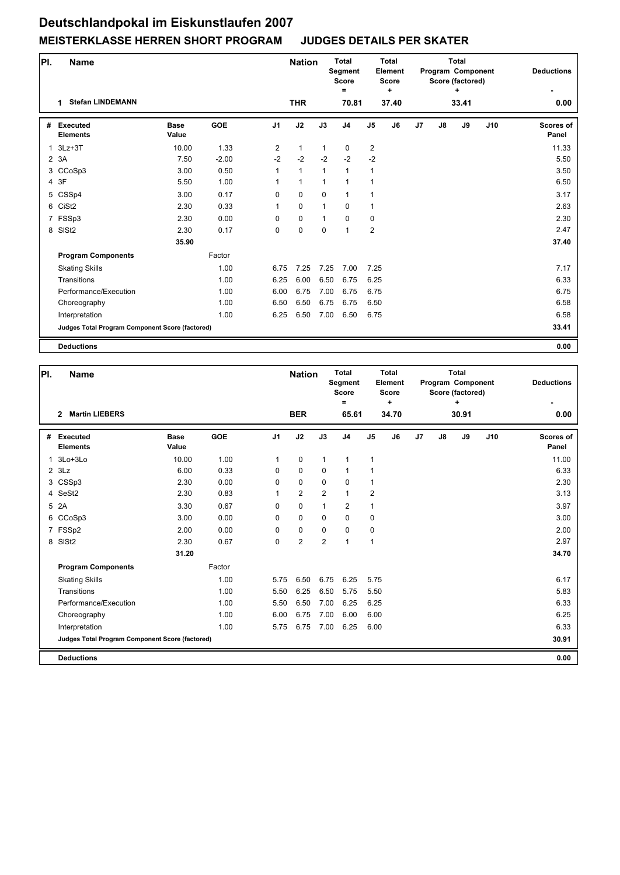## **Deutschlandpokal im Eiskunstlaufen 2007 MEISTERKLASSE HERREN SHORT PROGRAM JUDGES DETAILS PER SKATER**

| PI.          | <b>Name</b>                                     |                      |            |                | <b>Nation</b> |              | <b>Total</b><br>Segment<br><b>Score</b><br>$\equiv$ |                         | <b>Total</b><br>Element<br><b>Score</b><br>٠ |    |    | <b>Total</b><br>Program Component<br>Score (factored)<br>+ |     | <b>Deductions</b>         |
|--------------|-------------------------------------------------|----------------------|------------|----------------|---------------|--------------|-----------------------------------------------------|-------------------------|----------------------------------------------|----|----|------------------------------------------------------------|-----|---------------------------|
|              | <b>Stefan LINDEMANN</b><br>1                    |                      |            |                | <b>THR</b>    |              | 70.81                                               |                         | 37.40                                        |    |    | 33.41                                                      |     | 0.00                      |
| #            | <b>Executed</b><br><b>Elements</b>              | <b>Base</b><br>Value | <b>GOE</b> | J <sub>1</sub> | J2            | J3           | J <sub>4</sub>                                      | J <sub>5</sub>          | J6                                           | J7 | J8 | J9                                                         | J10 | <b>Scores of</b><br>Panel |
| $\mathbf{1}$ | $3Lz + 3T$                                      | 10.00                | 1.33       | $\overline{2}$ | $\mathbf{1}$  | $\mathbf{1}$ | $\mathbf 0$                                         | $\overline{\mathbf{c}}$ |                                              |    |    |                                                            |     | 11.33                     |
|              | 2 3A                                            | 7.50                 | $-2.00$    | $-2$           | $-2$          | $-2$         | $-2$                                                | $-2$                    |                                              |    |    |                                                            |     | 5.50                      |
|              | 3 CCoSp3                                        | 3.00                 | 0.50       | 1              | $\mathbf{1}$  | $\mathbf{1}$ | $\mathbf{1}$                                        | $\mathbf{1}$            |                                              |    |    |                                                            |     | 3.50                      |
|              | 4 3F                                            | 5.50                 | 1.00       | 1              | $\mathbf{1}$  | $\mathbf{1}$ | $\mathbf{1}$                                        | 1                       |                                              |    |    |                                                            |     | 6.50                      |
|              | 5 CSSp4                                         | 3.00                 | 0.17       | 0              | 0             | 0            | $\mathbf{1}$                                        | 1                       |                                              |    |    |                                                            |     | 3.17                      |
|              | 6 CiSt2                                         | 2.30                 | 0.33       | $\mathbf{1}$   | 0             | $\mathbf{1}$ | $\mathbf 0$                                         | $\mathbf{1}$            |                                              |    |    |                                                            |     | 2.63                      |
|              | 7 FSSp3                                         | 2.30                 | 0.00       | 0              | 0             | $\mathbf{1}$ | 0                                                   | 0                       |                                              |    |    |                                                            |     | 2.30                      |
|              | 8 SISt2                                         | 2.30                 | 0.17       | $\Omega$       | 0             | $\mathbf 0$  | $\mathbf{1}$                                        | $\overline{2}$          |                                              |    |    |                                                            |     | 2.47                      |
|              |                                                 | 35.90                |            |                |               |              |                                                     |                         |                                              |    |    |                                                            |     | 37.40                     |
|              | <b>Program Components</b>                       |                      | Factor     |                |               |              |                                                     |                         |                                              |    |    |                                                            |     |                           |
|              | <b>Skating Skills</b>                           |                      | 1.00       | 6.75           | 7.25          | 7.25         | 7.00                                                | 7.25                    |                                              |    |    |                                                            |     | 7.17                      |
|              | Transitions                                     |                      | 1.00       | 6.25           | 6.00          | 6.50         | 6.75                                                | 6.25                    |                                              |    |    |                                                            |     | 6.33                      |
|              | Performance/Execution                           |                      | 1.00       | 6.00           | 6.75          | 7.00         | 6.75                                                | 6.75                    |                                              |    |    |                                                            |     | 6.75                      |
|              | Choreography                                    |                      | 1.00       | 6.50           | 6.50          | 6.75         | 6.75                                                | 6.50                    |                                              |    |    |                                                            |     | 6.58                      |
|              | Interpretation                                  |                      | 1.00       | 6.25           | 6.50          | 7.00         | 6.50                                                | 6.75                    |                                              |    |    |                                                            |     | 6.58                      |
|              | Judges Total Program Component Score (factored) |                      |            |                |               |              |                                                     |                         |                                              |    |    |                                                            |     | 33.41                     |
|              | <b>Deductions</b>                               |                      |            |                |               |              |                                                     |                         |                                              |    |    |                                                            |     | 0.00                      |

| PI.<br><b>Name</b> |                                                 |                      |            |                | <b>Nation</b>  |                | <b>Total</b><br><b>Segment</b><br><b>Score</b><br>$\equiv$ |                | <b>Total</b><br>Element<br><b>Score</b><br>٠ |    |    | <b>Total</b><br>Program Component<br>Score (factored)<br>÷ |     | <b>Deductions</b>         |
|--------------------|-------------------------------------------------|----------------------|------------|----------------|----------------|----------------|------------------------------------------------------------|----------------|----------------------------------------------|----|----|------------------------------------------------------------|-----|---------------------------|
|                    | <b>Martin LIEBERS</b><br>$\overline{2}$         |                      |            |                | <b>BER</b>     |                | 65.61                                                      |                | 34.70                                        |    |    | 30.91                                                      |     | 0.00                      |
| #                  | <b>Executed</b><br><b>Elements</b>              | <b>Base</b><br>Value | <b>GOE</b> | J <sub>1</sub> | J2             | J3             | J <sub>4</sub>                                             | J <sub>5</sub> | J <sub>6</sub>                               | J7 | J8 | J9                                                         | J10 | <b>Scores of</b><br>Panel |
| $\mathbf{1}$       | 3Lo+3Lo                                         | 10.00                | 1.00       | 1              | 0              | $\mathbf{1}$   | $\mathbf{1}$                                               | $\mathbf{1}$   |                                              |    |    |                                                            |     | 11.00                     |
|                    | $2$ $3Lz$                                       | 6.00                 | 0.33       | 0              | $\mathbf 0$    | $\mathbf 0$    | $\mathbf 1$                                                | 1              |                                              |    |    |                                                            |     | 6.33                      |
|                    | 3 CSSp3                                         | 2.30                 | 0.00       | 0              | $\mathbf 0$    | $\Omega$       | 0                                                          | 1              |                                              |    |    |                                                            |     | 2.30                      |
|                    | 4 SeSt2                                         | 2.30                 | 0.83       | 1              | 2              | $\overline{2}$ | $\mathbf{1}$                                               | $\overline{2}$ |                                              |    |    |                                                            |     | 3.13                      |
| 5                  | 2A                                              | 3.30                 | 0.67       | 0              | $\mathbf 0$    | $\mathbf{1}$   | 2                                                          | $\mathbf{1}$   |                                              |    |    |                                                            |     | 3.97                      |
|                    | 6 CCoSp3                                        | 3.00                 | 0.00       | $\Omega$       | $\mathbf 0$    | $\Omega$       | 0                                                          | 0              |                                              |    |    |                                                            |     | 3.00                      |
|                    | 7 FSSp2                                         | 2.00                 | 0.00       | $\Omega$       | $\mathbf 0$    | $\Omega$       | $\Omega$                                                   | $\pmb{0}$      |                                              |    |    |                                                            |     | 2.00                      |
|                    | 8 SISt2                                         | 2.30                 | 0.67       | 0              | $\overline{2}$ | $\overline{2}$ | $\mathbf{1}$                                               | $\mathbf{1}$   |                                              |    |    |                                                            |     | 2.97                      |
|                    |                                                 | 31.20                |            |                |                |                |                                                            |                |                                              |    |    |                                                            |     | 34.70                     |
|                    | <b>Program Components</b>                       |                      | Factor     |                |                |                |                                                            |                |                                              |    |    |                                                            |     |                           |
|                    | <b>Skating Skills</b>                           |                      | 1.00       | 5.75           | 6.50           | 6.75           | 6.25                                                       | 5.75           |                                              |    |    |                                                            |     | 6.17                      |
|                    | Transitions                                     |                      | 1.00       | 5.50           | 6.25           | 6.50           | 5.75                                                       | 5.50           |                                              |    |    |                                                            |     | 5.83                      |
|                    | Performance/Execution                           |                      | 1.00       | 5.50           | 6.50           | 7.00           | 6.25                                                       | 6.25           |                                              |    |    |                                                            |     | 6.33                      |
|                    | Choreography                                    |                      | 1.00       | 6.00           | 6.75           | 7.00           | 6.00                                                       | 6.00           |                                              |    |    |                                                            |     | 6.25                      |
|                    | Interpretation                                  |                      | 1.00       | 5.75           | 6.75           | 7.00           | 6.25                                                       | 6.00           |                                              |    |    |                                                            |     | 6.33                      |
|                    | Judges Total Program Component Score (factored) |                      |            |                |                |                |                                                            |                |                                              |    |    |                                                            |     | 30.91                     |
|                    | <b>Deductions</b>                               |                      |            |                |                |                |                                                            |                |                                              |    |    |                                                            |     | 0.00                      |